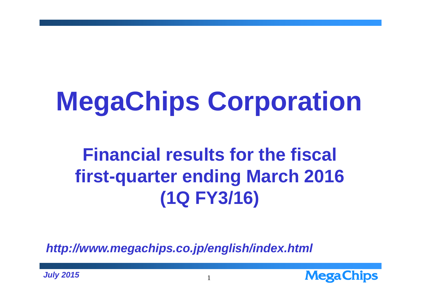# **MegaChips Corporation**

# **Financial results for the fiscal first-quarter ending March 2016 (1Q FY3/16)**

*http://www.megachips.co.jp/english/index.html*



*July 2015*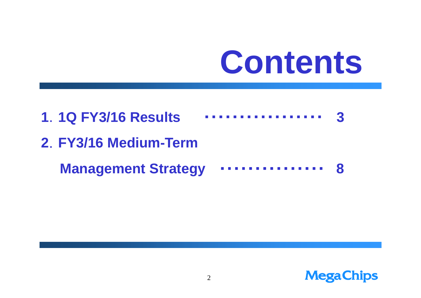# **Contents**



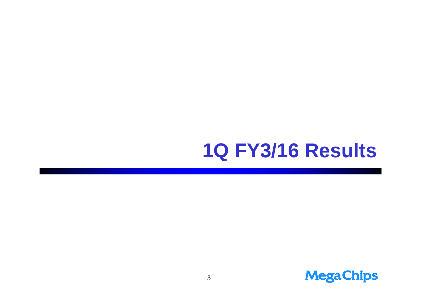## **1Q FY3/16 Results**

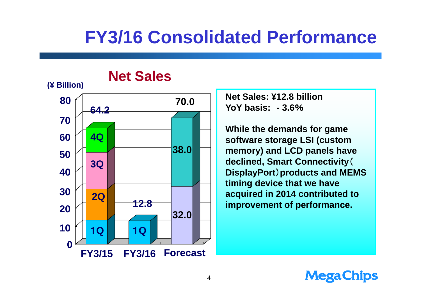### **FY3/16 Consolidated Performance**



**Net Sales: ¥12.8 billionYoY basis: - 3.6**%

**While the demands for game software storage LSI (custom memory) and LCD panels have declined, Smart Connectivity**( **DisplayPort**)**products and MEMS timing device that we have acquired in 2014 contributed to improvement of performance.**

#### **MegaChips**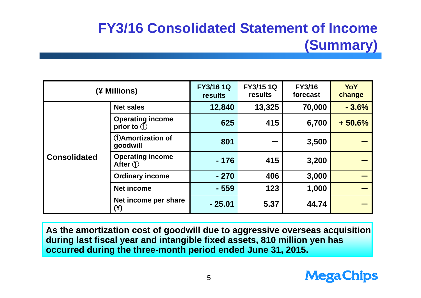### **FY3/16 Consolidated Statement of Income (Summary)**

| (¥ Millions)        |                                                   | <b>FY3/16 1Q</b><br><b>results</b> | <b>FY3/151Q</b><br>results | <b>FY3/16</b><br>forecast | YoY<br>change |
|---------------------|---------------------------------------------------|------------------------------------|----------------------------|---------------------------|---------------|
| <b>Consolidated</b> | <b>Net sales</b>                                  | 12,840                             | 13,325                     | 70,000                    | $-3.6%$       |
|                     | <b>Operating income</b><br>prior to $\circled{1}$ | 625                                | 415                        | 6,700                     | $+50.6%$      |
|                     | <b>DAmortization of</b><br>goodwill               | 801                                |                            | 3,500                     |               |
|                     | <b>Operating income</b><br>After $\mathcal{D}$    | $-176$                             | 415                        | 3,200                     |               |
|                     | <b>Ordinary income</b>                            | $-270$                             | 406                        | 3,000                     |               |
|                     | <b>Net income</b>                                 | $-559$                             | 123                        | 1,000                     |               |
|                     | Net income per share<br>(¥)                       | $-25.01$                           | 5.37                       | 44.74                     |               |

**As the amortization cost of goodwill due to aggressive overseas acquisition during last fiscal year and intangible fixed assets, 810 million yen has occurred during the three-month period ended June 31, 2015.**

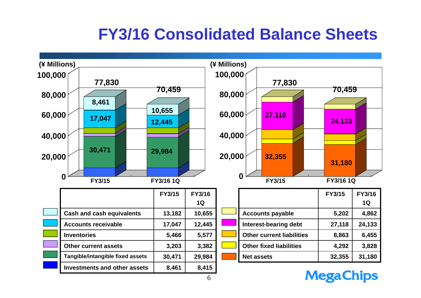### **FY3/16 Consolidated Balance Sheets**



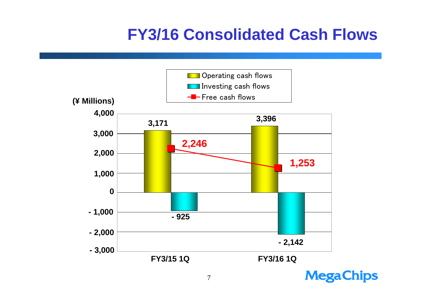### **FY3/16 Consolidated Cash Flows**



**MegaChips**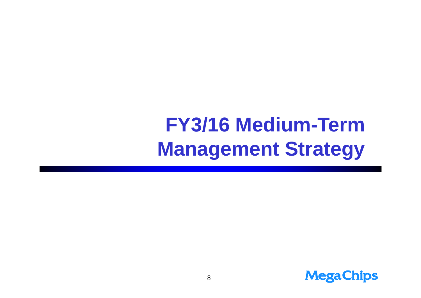# **FY3/16 Medium-Term Management Strategy**

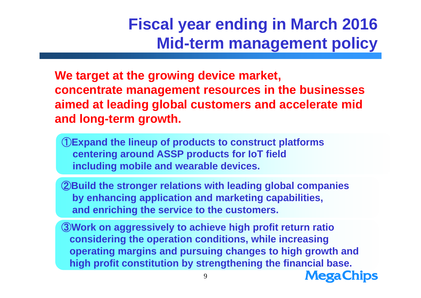### **Fiscal year ending in March 2016 Mid-term management policy**

**We target at the growing device market, concentrate management resources in the businesses aimed at leading global customers and accelerate mid and long-term growth.**

①**Expand the lineup of products to construct platforms centering around ASSP products for IoT field including mobile and wearable devices.**

②**Build the stronger relations with leading global companies by enhancing application and marketing capabilities, and enriching the service to the customers.**

③**Work on aggressively to achieve high profit return ratio considering the operation conditions, while increasing operating margins and pursuing changes to high growth and high profit constitution by strengthening the financial base.**

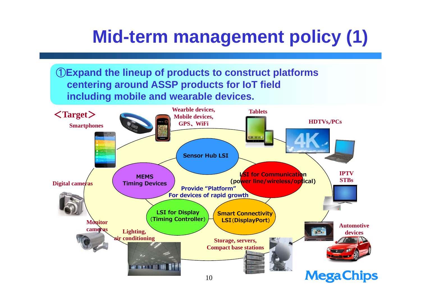### **Mid-term management policy (1)**

①**Expand the lineup of products to construct platforms centering around ASSP products for IoT field including mobile and wearable devices.**

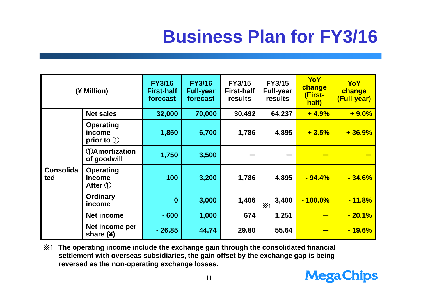## **Business Plan for FY3/16**

| (¥ Million)             |                                                             | <b>FY3/16</b><br><b>First-half</b><br>forecast | <b>FY3/16</b><br><b>Full-year</b><br>forecast | <b>FY3/15</b><br><b>First-half</b><br>results | <b>FY3/15</b><br><b>Full-year</b><br>results | <b>YoY</b><br>change<br>(First-<br>half) | <b>YoY</b><br>change<br>(Full-year) |
|-------------------------|-------------------------------------------------------------|------------------------------------------------|-----------------------------------------------|-----------------------------------------------|----------------------------------------------|------------------------------------------|-------------------------------------|
| <b>Consolida</b><br>ted | <b>Net sales</b>                                            | 32,000                                         | 70,000                                        | 30,492                                        | 64,237                                       | $+4.9%$                                  | $+9.0%$                             |
|                         | <b>Operating</b><br><i>income</i><br>prior to $\circled{1}$ | 1,850                                          | 6,700                                         | 1,786                                         | 4,895                                        | $+3.5%$                                  | $+36.9%$                            |
|                         | <b>(1)Amortization</b><br>of goodwill                       | 1,750                                          | 3,500                                         |                                               |                                              |                                          |                                     |
|                         | <b>Operating</b><br>income<br>After $\bigcirc$              | 100                                            | 3,200                                         | 1,786                                         | 4,895                                        | $-94.4%$                                 | $-34.6%$                            |
|                         | <b>Ordinary</b><br>income                                   | $\bf{0}$                                       | 3,000                                         | 1,406                                         | 3,400<br>X <sub>1</sub>                      | $-100.0\%$                               | $-11.8\%$                           |
|                         | <b>Net income</b>                                           | $-600$                                         | 1,000                                         | 674                                           | 1,251                                        |                                          | $-20.1%$                            |
|                         | Net income per<br>share $(4)$                               | $-26.85$                                       | 44.74                                         | 29.80                                         | 55.64                                        |                                          | $-19.6\%$                           |

※1 **The operating income include the exchange gain through the consolidated financial settlement with overseas subsidiaries, the gain offset by the exchange gap is being reversed as the non-operating exchange losses.**

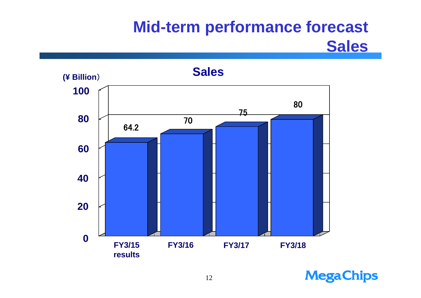### **Mid-term performance forecast Sales**



**MegaChips**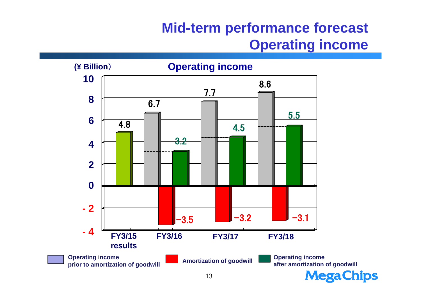### **Mid-term performance forecast Operating income**



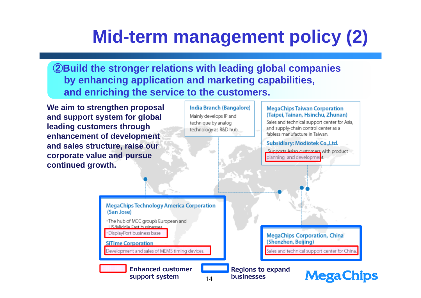## **Mid-term management policy (2)**

②**Build the stronger relations with leading global companies by enhancing application and marketing capabilities, and enriching the service to the customers.**

**We aim to strengthen proposal and support system for global leading customers through enhancement of development and sales structure, raise our corporate value and pursue continued growth.**

**India Branch (Bangalore)** Mainly develops IP and technique by analog technology as R&D hub.

#### **MegaChips Taiwan Corporation** (Taipei, Tainan, Hsinchu, Zhunan)

Sales and technical support center for Asia, and supply-chain control center as a fabless manufacture in Taiwan.

**Subsidiary: Modiotek Co., Ltd.** 

Supports Asian customers with product planning and developme.

**MegaChips Technology America Corporation** (San Jose) · The hub of MCC group's European and **LIS/Middle Fast businesses** · DisplayPort business base **MegaChips Corporation, China** (Shenzhen, Beijing) **SiTime Corporation** Development and sales of MEMS timing devices Sales and technical support center for Chin **Enhanced customer Regions to expand businessessupport system** 14

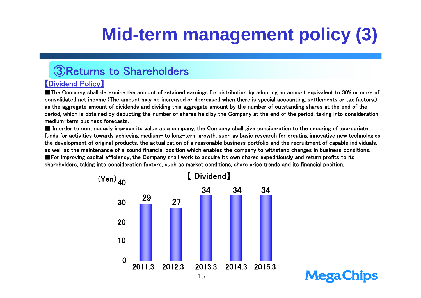# **Mid-term management policy (3)**

**MegaChips** 

#### ③Returns to Shareholders

#### 【Dividend Policy】

■The Company shall determine the amount of retained earnings for distribution by adopting an amount equivalent to 30% or more of consolidated net income (The amount may be increased or decreased when there is special accounting, settlements or tax factors.) as the aggregate amount of dividends and dividing this aggregate amount by the number of outstanding shares at the end of the period, which is obtained by deducting the number of shares held by the Company at the end of the period, taking into consideration medium-term business forecasts.

■ In order to continuously improve its value as a company, the Company shall give consideration to the securing of appropriate funds for activities towards achieving medium- to long-term growth, such as basic research for creating innovative new technologies, the development of original products, the actualization of a reasonable business portfolio and the recruitment of capable individuals, as well as the maintenance of a sound financial position which enables the company to withstand changes in business conditions. ■For improving capital efficiency, the Company shall work to acquire its own shares expeditiously and return profits to its shareholders, taking into consideration factors, such as market conditions, share price trends and its financial position.

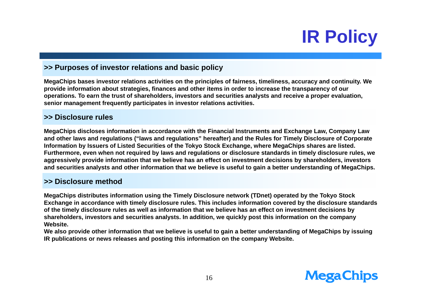# **IR Policy**

#### **>> Purposes of investor relations and basic policy**

**MegaChips bases investor relations activities on the principles of fairness, timeliness, accuracy and continuity. We provide information about strategies, finances and other items in order to increase the transparency of our operations. To earn the trust of shareholders, investors and securities analysts and receive a proper evaluation, senior management frequently participates in investor relations activities.** 

#### **>> Disclosure rules**

**MegaChips discloses information in accordance with the Financial Instruments and Exchange Law, Company Law and other laws and regulations ("laws and regulations" hereafter) and the Rules for Timely Disclosure of Corporate Information by Issuers of Listed Securities of the Tokyo Stock Exchange, where MegaChips shares are listed. Furthermore, even when not required by laws and regulations or disclosure standards in timely disclosure rules, we aggressively provide information that we believe has an effect on investment decisions by shareholders, investors and securities analysts and other information that we believe is useful to gain a better understanding of MegaChips.**

#### **>> Disclosure method**

**MegaChips distributes information using the Timely Disclosure network (TDnet) operated by the Tokyo Stock Exchange in accordance with timely disclosure rules. This includes information covered by the disclosure standards of the timely disclosure rules as well as information that we believe has an effect on investment decisions by shareholders, investors and securities analysts. In addition, we quickly post this information on the company Website.** 

**We also provide other information that we believe is useful to gain a better understanding of MegaChips by issuing IR publications or news releases and posting this information on the company Website.**

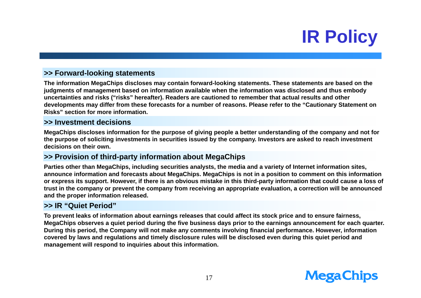# **IR Policy**

#### **>> Forward-looking statements**

**The information MegaChips discloses may contain forward-looking statements. These statements are based on the judgments of management based on information available when the information was disclosed and thus embody uncertainties and risks ("risks" hereafter). Readers are cautioned to remember that actual results and other developments may differ from these forecasts for a number of reasons. Please refer to the "Cautionary Statement on Risks" section for more information.**

#### **>> Investment decisions**

**MegaChips discloses information for the purpose of giving people a better understanding of the company and not for the purpose of soliciting investments in securities issued by the company. Investors are asked to reach investment decisions on their own.**

#### **>> Provision of third-party information about MegaChips**

**Parties other than MegaChips, including securities analysts, the media and a variety of Internet information sites, announce information and forecasts about MegaChips. MegaChips is not in a position to comment on this information or express its support. However, if there is an obvious mistake in this third-party information that could cause a loss of trust in the company or prevent the company from receiving an appropriate evaluation, a correction will be announced and the proper information released.**

#### **>> IR "Quiet Period"**

**To prevent leaks of information about earnings releases that could affect its stock price and to ensure fairness, MegaChips observes a quiet period during the five business days prior to the earnings announcement for each quarter. During this period, the Company will not make any comments involving financial performance. However, information covered by laws and regulations and timely disclosure rules will be disclosed even during this quiet period and management will respond to inquiries about this information.**